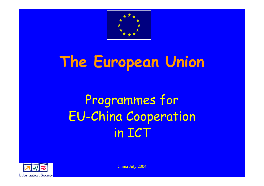

# **The European Union**

### Programmes for EU-China Cooperation in ICT



China July 2004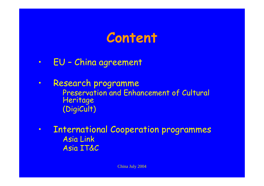### **Content**

- •EU – China agreement
- $\bullet$  Research programme Preservation and Enhancement of Cultural **Heritage** (DigiCult)
- • International Cooperation programmes Asia Link Asia IT&C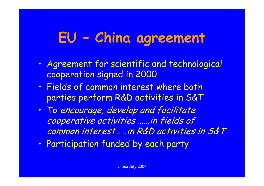### **EU – China agreement**

- $\bullet$  Agreement for scientific and technological cooperation signed in 2000
- $\bullet$  Fields of common interest where both parties perform R&D activities in S&T
- $\bullet$  To encourage, develop and facilitate cooperative activities ……in fields of common interest……in R&D activities in S&T
- $\bullet$ Participation funded by each party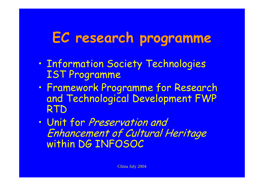### **EC research programme**

- $\bullet$  Information Society Technologies IST Programme
- $\bullet$  Framework Programme for Research and Technological Development FWP RTD
- $\bullet$  Unit for Preservation and Enhancement of Cultural Heritage within DG INFOSOC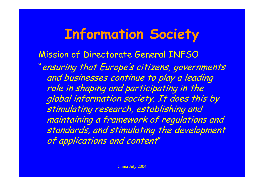### **Information Society**

Mission of Directorate General INFSO "ensuring that Europe's citizens, governments and businesses continue to play a leading role in shaping and participating in the global information society. It does this by stimulating research, establishing and maintaining a framework of regulations and standards, and stimulating the development of applications and content"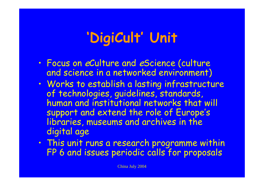## **'DigiCult' Unit**

- $\bullet$  Focus on eCulture and eScience (culture and science in a networked environment)
- $\bullet$  Works to establish a lasting infrastructure of technologies, guidelines, standards, human and institutional networks that will suppor<sup>t</sup> and extend the role of Europe's libraries, museums and archives in the digital age
- $\bullet$  This unit runs a research programme within FP 6 and issues periodic calls for proposals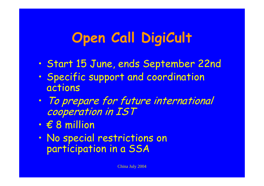### **Open Call DigiCult**

- $\bullet$ Start 15 June, ends September 22nd
- $\bullet$  Specific suppor<sup>t</sup> and coordination actions
- $\bullet$  To prepare for future international cooperation in IST
- $\bullet$ € 8 million
- $\bullet$  No special restrictions on participation in a SSA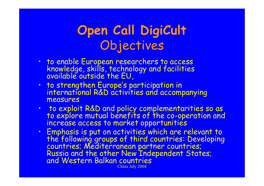#### **Open Call DigiCult** Objectives

- · to enable European researchers to access knowledge, skills, technology and facilities<br>available outside the EU,
- to strengthen Europe's participation in international R&D activities and accompanying measures
- to exploit R&D and policy complementarities so as to explore mutual benefits of the co-operation and increase access to market opportunities
- China July 2004  $\bullet$ Emphasis is put on activities which are relevant to<br>the following groups of third countries: Developing<br>countries; Mediterranean partner countries;<br>Russia and the other New Independent States;<br>and Western Balkan countries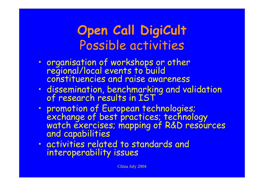#### **Open Call DigiCult** Possible activities

- $\bullet$ organisation of workshops or other<br>regional/local events to build<br>constituencies and raise awareness
- $\bullet$ dissemination, benchmarking and validation<br>of research results in IST
- $\bullet$ promotion of European technologies;<br>exchange of best practices; technology<br>watch exercises; mapping of R&D resources<br>and capabilities
- $\bullet$  activities related to standards and interoperability issues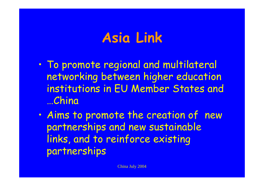### **Asia Link**

- $\bullet$  To promote regional and multilateral networking between higher education institutions in EU Member States and …China
- $\bullet$  Aims to promote the creation of new partnerships and new sustainable links, and to reinforce existing partnerships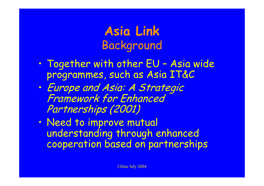#### **Asia Link** Background

- $\bullet$  Together with other EU – Asia wide programmes, such as Asia IT&C
- $\bullet$  Europe and Asia: A Strategic Framework for Enhanced Partnerships (2001)
- $\bullet$  Need to improve mutual understanding through enhanced cooperation based on partnerships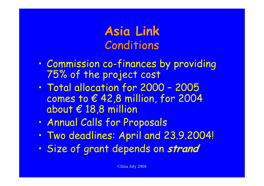**Asia Link** Conditions

- $\bullet$ Commission co-finances by providing 75% of the project cost
- $\bullet$  Total allocation for 2000 – 2005 comes to € 42,8 million, for 2004 about € 18,8 million
- $\bullet$ Annual Calls for Proposals
- $\bullet$ Two deadlines: April and 23.9.2004!
- $\bullet$ Size of grant depends on **strand**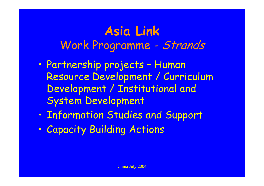#### **Asia Link** Work Programme - Strands

- $\bullet$  Partnership projects – Human Resource Development / Curriculum Development / Institutional and System Development
- $\bullet$ Information Studies and Support
- $\bullet$ Capacity Building Actions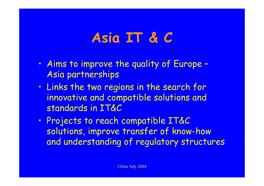### **Asia IT & C**

- $\bullet$  Aims to improve the quality of Europe – Asia partnerships
- $\bullet$  Links the two regions in the search for innovative and compatible solutions and standards in IT&C
- $\bullet$  Projects to reach compatible IT&C solutions, improve transfer of know-how and understanding of regulatory structures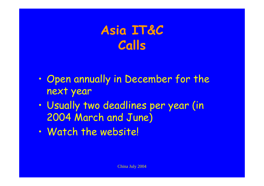#### **Asia IT&C Calls**

- $\bullet$  Open annually in December for the next year
- $\bullet$  Usually two deadlines per year (in 2004 March and June)
- $\bullet$ Watch the website!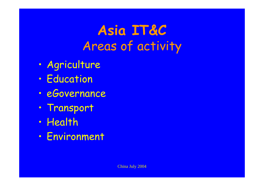**Asia IT&C** Areas of activity

- $\bullet$ Agriculture
- $\bullet$ Education
- $\bullet$ eGovernance
- $\bullet$ Transport
- $\bullet$ Health
- $\bullet$ Environment